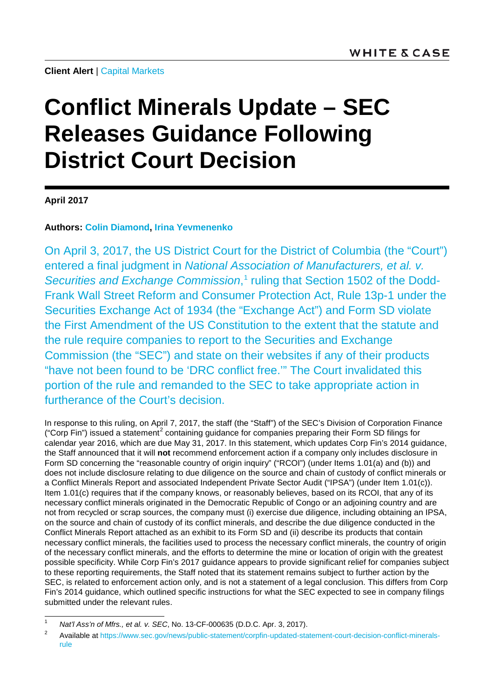**Client Alert** | [Capital Markets](https://www.whitecase.com/law/practices/capital-markets)

# **Conflict Minerals Update – SEC Releases Guidance Following District Court Decision**

### **April 2017**

### **Authors: [Colin Diamond,](https://www.whitecase.com/people/colin-diamond) [Irina Yevmenenko](https://www.whitecase.com/people/irina-yevmenenko)**

On April 3, 2017, the US District Court for the District of Columbia (the "Court") entered a final judgment in *National Association of Manufacturers, et al. v.*  Securities and Exchange Commission,<sup>[1](#page-0-0)</sup> ruling that Section 1502 of the Dodd-Frank Wall Street Reform and Consumer Protection Act, Rule 13p-1 under the Securities Exchange Act of 1934 (the "Exchange Act") and Form SD violate the First Amendment of the US Constitution to the extent that the statute and the rule require companies to report to the Securities and Exchange Commission (the "SEC") and state on their websites if any of their products "have not been found to be 'DRC conflict free.'" The Court invalidated this portion of the rule and remanded to the SEC to take appropriate action in furtherance of the Court's decision.

In response to this ruling, on April 7, 2017, the staff (the "Staff") of the SEC's Division of Corporation Finance ("Corp Fin") issued a statement<sup>[2](#page-0-1)</sup> containing guidance for companies preparing their Form SD filings for calendar year 2016, which are due May 31, 2017. In this statement, which updates Corp Fin's 2014 guidance, the Staff announced that it will **not** recommend enforcement action if a company only includes disclosure in Form SD concerning the "reasonable country of origin inquiry" ("RCOI") (under Items 1.01(a) and (b)) and does not include disclosure relating to due diligence on the source and chain of custody of conflict minerals or a Conflict Minerals Report and associated Independent Private Sector Audit ("IPSA") (under Item 1.01(c)). Item 1.01(c) requires that if the company knows, or reasonably believes, based on its RCOI, that any of its necessary conflict minerals originated in the Democratic Republic of Congo or an adjoining country and are not from recycled or scrap sources, the company must (i) exercise due diligence, including obtaining an IPSA, on the source and chain of custody of its conflict minerals, and describe the due diligence conducted in the Conflict Minerals Report attached as an exhibit to its Form SD and (ii) describe its products that contain necessary conflict minerals, the facilities used to process the necessary conflict minerals, the country of origin of the necessary conflict minerals, and the efforts to determine the mine or location of origin with the greatest possible specificity. While Corp Fin's 2017 guidance appears to provide significant relief for companies subject to these reporting requirements, the Staff noted that its statement remains subject to further action by the SEC, is related to enforcement action only, and is not a statement of a legal conclusion. This differs from Corp Fin's 2014 guidance, which outlined specific instructions for what the SEC expected to see in company filings submitted under the relevant rules.

<span id="page-0-0"></span> <sup>1</sup> *Nat'l Ass'n of Mfrs., et al. v. SEC*, No. 13-CF-000635 (D.D.C. Apr. 3, 2017).

<span id="page-0-1"></span><sup>&</sup>lt;sup>2</sup> Available a[t https://www.sec.gov/news/public-statement/corpfin-updated-statement-court-decision-conflict-minerals](https://www.sec.gov/news/public-statement/corpfin-updated-statement-court-decision-conflict-minerals-rule)[rule](https://www.sec.gov/news/public-statement/corpfin-updated-statement-court-decision-conflict-minerals-rule)